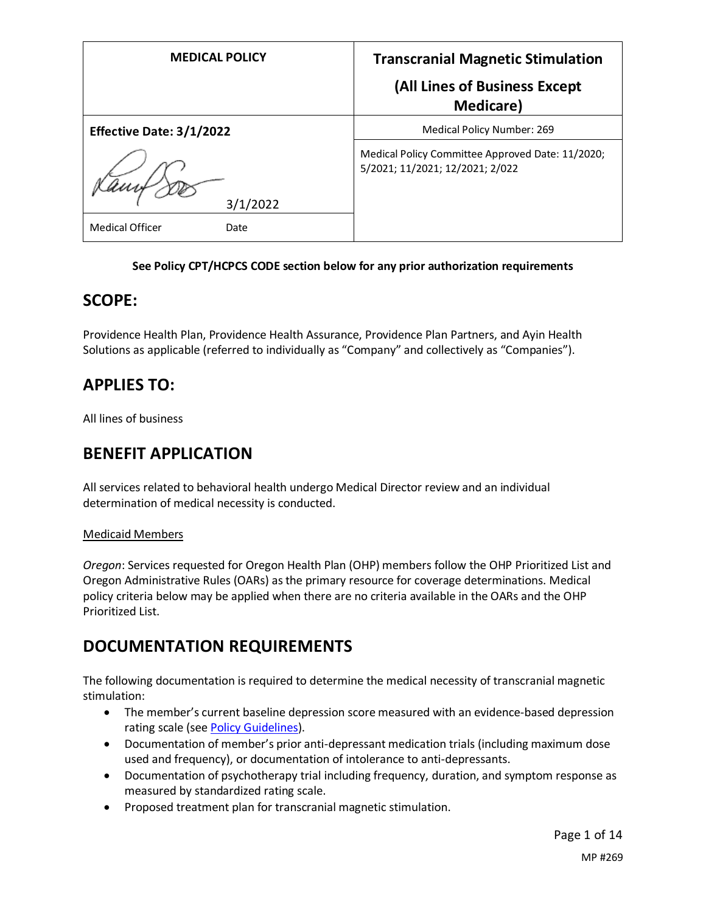| <b>MEDICAL POLICY</b>          | <b>Transcranial Magnetic Stimulation</b>                                            |
|--------------------------------|-------------------------------------------------------------------------------------|
|                                | (All Lines of Business Except<br><b>Medicare</b> )                                  |
| Effective Date: 3/1/2022       | Medical Policy Number: 269                                                          |
|                                | Medical Policy Committee Approved Date: 11/2020;<br>5/2021; 11/2021; 12/2021; 2/022 |
| 3/1/2022                       |                                                                                     |
| <b>Medical Officer</b><br>Date |                                                                                     |

## **See Policy CPT/HCPCS CODE section below for any prior authorization requirements**

## **SCOPE:**

Providence Health Plan, Providence Health Assurance, Providence Plan Partners, and Ayin Health Solutions as applicable (referred to individually as "Company" and collectively as "Companies").

# **APPLIES TO:**

All lines of business

# **BENEFIT APPLICATION**

All services related to behavioral health undergo Medical Director review and an individual determination of medical necessity is conducted.

## Medicaid Members

*Oregon*: Services requested for Oregon Health Plan (OHP) members follow the OHP Prioritized List and Oregon Administrative Rules (OARs) as the primary resource for coverage determinations. Medical policy criteria below may be applied when there are no criteria available in the OARs and the OHP Prioritized List.

# **DOCUMENTATION REQUIREMENTS**

The following documentation is required to determine the medical necessity of transcranial magnetic stimulation:

- The member's current baseline depression score measured with an evidence-based depression rating scale (se[e Policy Guidelines\)](#page-2-0).
- Documentation of member's prior anti-depressant medication trials (including maximum dose used and frequency), or documentation of intolerance to anti-depressants.
- Documentation of psychotherapy trial including frequency, duration, and symptom response as measured by standardized rating scale.
- Proposed treatment plan for transcranial magnetic stimulation.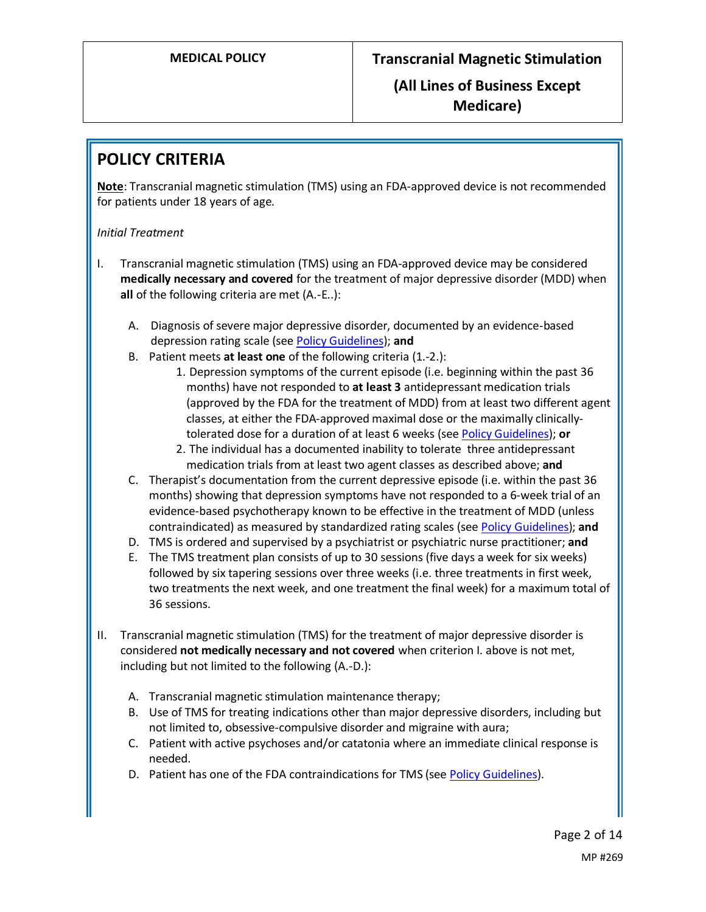# **POLICY CRITERIA**

**Note**: Transcranial magnetic stimulation (TMS) using an FDA-approved device is not recommended for patients under 18 years of age.

## *Initial Treatment*

- I. Transcranial magnetic stimulation (TMS) using an FDA-approved device may be considered **medically necessary and covered** for the treatment of major depressive disorder (MDD) when **all** of the following criteria are met (A.-E..):
	- A. Diagnosis of severe major depressive disorder, documented by an evidence-based depression rating scale (se[e Policy Guidelines\)](#page-2-0); **and**
	- B. Patient meets **at least one** of the following criteria (1.-2.):
		- 1. Depression symptoms of the current episode (i.e. beginning within the past 36 months) have not responded to **at least 3** antidepressant medication trials (approved by the FDA for the treatment of MDD) from at least two different agent classes, at either the FDA-approved maximal dose or the maximally clinicallytolerated dose for a duration of at least 6 weeks (se[e Policy Guidelines\)](#page-2-1); **or**
			- 2. The individual has a documented inability to tolerate three antidepressant medication trials from at least two agent classes as described above; **and**
	- C. Therapist's documentation from the current depressive episode (i.e. within the past 36 months) showing that depression symptoms have not responded to a 6-week trial of an evidence-based psychotherapy known to be effective in the treatment of MDD (unless contraindicated) as measured by standardized rating scales (se[e Policy Guidelines\)](#page-2-0); **and**
	- D. TMS is ordered and supervised by a psychiatrist or psychiatric nurse practitioner; **and**
	- E. The TMS treatment plan consists of up to 30 sessions (five days a week for six weeks) followed by six tapering sessions over three weeks (i.e. three treatments in first week, two treatments the next week, and one treatment the final week) for a maximum total of 36 sessions.
- II. Transcranial magnetic stimulation (TMS) for the treatment of major depressive disorder is considered **not medically necessary and not covered** when criterion I. above is not met, including but not limited to the following (A.-D.):
	- A. Transcranial magnetic stimulation maintenance therapy;
	- B. Use of TMS for treating indications other than major depressive disorders, including but not limited to, obsessive-compulsive disorder and migraine with aura;
	- C. Patient with active psychoses and/or catatonia where an immediate clinical response is needed.
	- D. Patient has one of the FDA contraindications for TMS (see [Policy Guidelines\)](#page-2-1).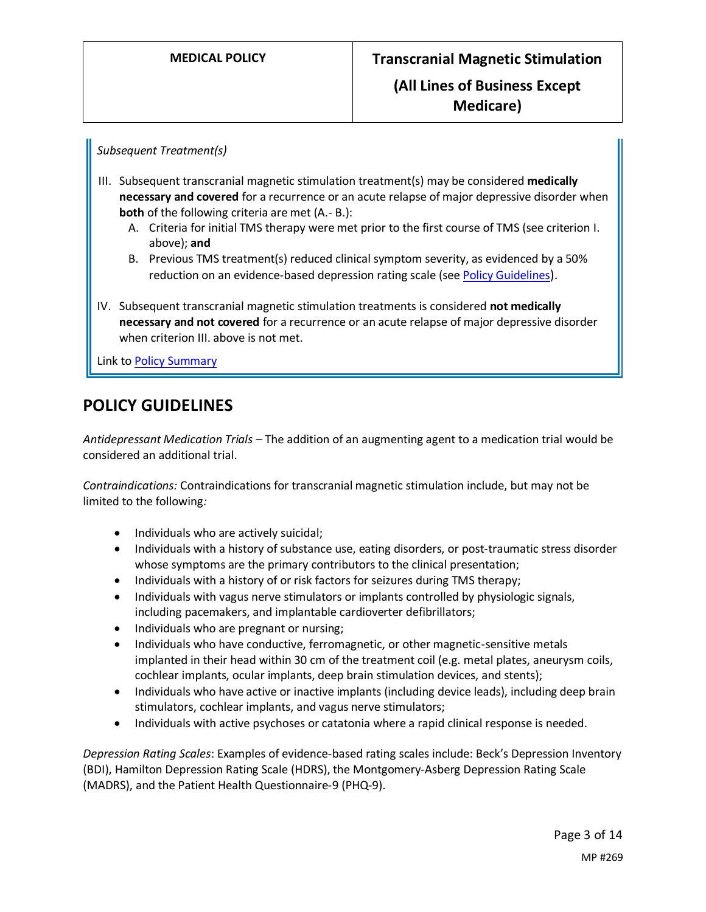*Subsequent Treatment(s)*

- III. Subsequent transcranial magnetic stimulation treatment(s) may be considered **medically necessary and covered** for a recurrence or an acute relapse of major depressive disorder when **both** of the following criteria are met (A.-B.):
	- A. Criteria for initial TMS therapy were met prior to the first course of TMS (see criterion I. above); **and**
	- B. Previous TMS treatment(s) reduced clinical symptom severity, as evidenced by a 50% reduction on an evidence-based depression rating scale (se[e Policy Guidelines](#page-2-0)).
- IV. Subsequent transcranial magnetic stimulation treatments is considered **not medically necessary and not covered** for a recurrence or an acute relapse of major depressive disorder when criterion III. above is not met.

Link t[o Policy Summary](#page-10-0)

## **POLICY GUIDELINES**

<span id="page-2-1"></span>*Antidepressant Medication Trials –* The addition of an augmenting agent to a medication trial would be considered an additional trial.

*Contraindications:* Contraindications for transcranial magnetic stimulation include, but may not be limited to the following*:*

- Individuals who are actively suicidal;
- Individuals with a history of substance use, eating disorders, or post-traumatic stress disorder whose symptoms are the primary contributors to the clinical presentation;
- Individuals with a history of or risk factors for seizures during TMS therapy;
- Individuals with vagus nerve stimulators or implants controlled by physiologic signals, including pacemakers, and implantable cardioverter defibrillators;
- Individuals who are pregnant or nursing;
- Individuals who have conductive, ferromagnetic, or other magnetic-sensitive metals implanted in their head within 30 cm of the treatment coil (e.g. metal plates, aneurysm coils, cochlear implants, ocular implants, deep brain stimulation devices, and stents);
- Individuals who have active or inactive implants (including device leads), including deep brain stimulators, cochlear implants, and vagus nerve stimulators;
- Individuals with active psychoses or catatonia where a rapid clinical response is needed.

<span id="page-2-0"></span>*Depression Rating Scales*: Examples of evidence-based rating scales include: Beck's Depression Inventory (BDI), Hamilton Depression Rating Scale (HDRS), the Montgomery-Asberg Depression Rating Scale (MADRS), and the Patient Health Questionnaire-9 (PHQ-9).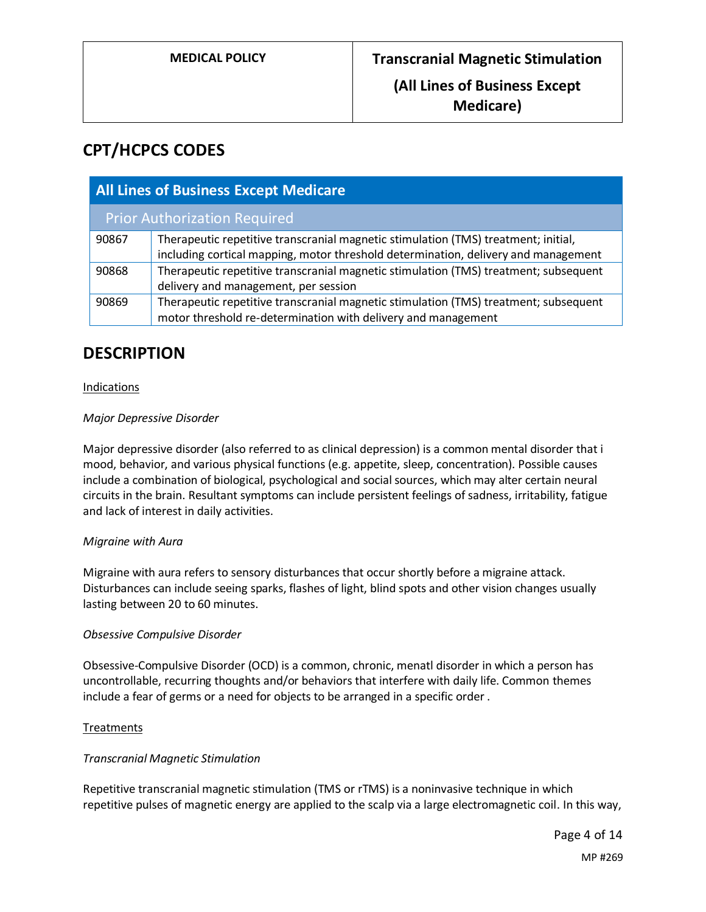# **CPT/HCPCS CODES**

| <b>All Lines of Business Except Medicare</b> |                                                                                                                                                                          |
|----------------------------------------------|--------------------------------------------------------------------------------------------------------------------------------------------------------------------------|
| <b>Prior Authorization Required</b>          |                                                                                                                                                                          |
| 90867                                        | Therapeutic repetitive transcranial magnetic stimulation (TMS) treatment; initial,<br>including cortical mapping, motor threshold determination, delivery and management |
| 90868                                        | Therapeutic repetitive transcranial magnetic stimulation (TMS) treatment; subsequent<br>delivery and management, per session                                             |
| 90869                                        | Therapeutic repetitive transcranial magnetic stimulation (TMS) treatment; subsequent<br>motor threshold re-determination with delivery and management                    |

## **DESCRIPTION**

## Indications

## *Major Depressive Disorder*

Major depressive disorder (also referred to as clinical depression) is a common mental disorder that i mood, behavior, and various physical functions (e.g. appetite, sleep, concentration). Possible causes include a combination of biological, psychological and social sources, which may alter certain neural circuits in the brain. Resultant symptoms can include persistent feelings of sadness, irritability, fatigue and lack of interest in daily activities.

### *Migraine with Aura*

Migraine with aura refers to sensory disturbances that occur shortly before a migraine attack. Disturbances can include seeing sparks, flashes of light, blind spots and other vision changes usually lasting between 20 to 60 minutes.

### *Obsessive Compulsive Disorder*

Obsessive-Compulsive Disorder (OCD) is a common, chronic, menatl disorder in which a person has uncontrollable, recurring thoughts and/or behaviors that interfere with daily life. Common themes include a fear of germs or a need for objects to be arranged in a specific order .

### **Treatments**

### *Transcranial Magnetic Stimulation*

Repetitive transcranial magnetic stimulation (TMS or rTMS) is a noninvasive technique in which repetitive pulses of magnetic energy are applied to the scalp via a large electromagnetic coil. In this way,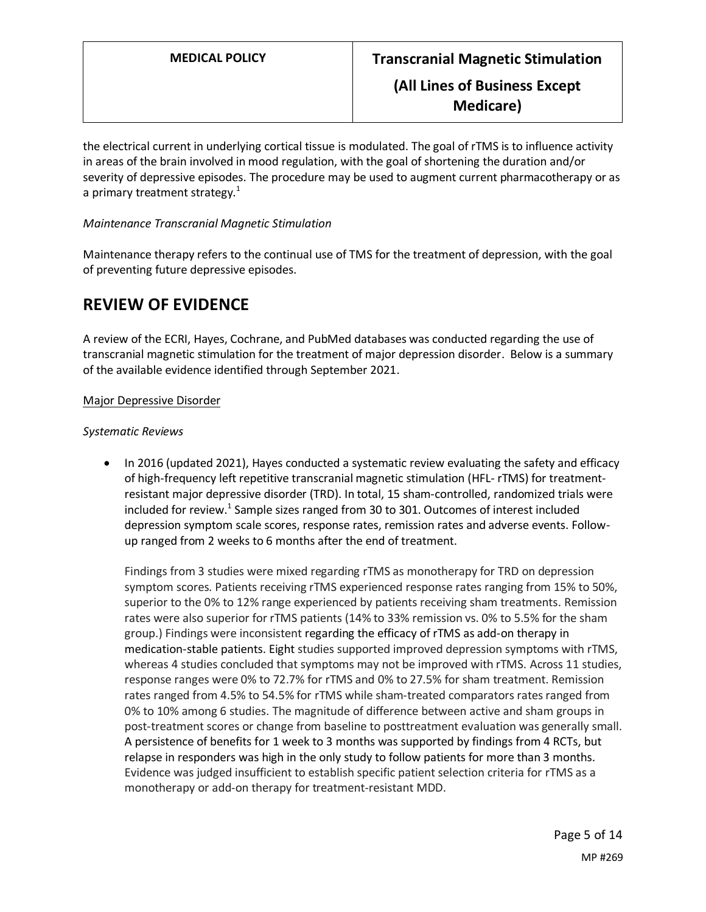**Medicare)**

the electrical current in underlying cortical tissue is modulated. The goal of rTMS is to influence activity in areas of the brain involved in mood regulation, with the goal of shortening the duration and/or severity of depressive episodes. The procedure may be used to augment current pharmacotherapy or as a primary treatment strategy. $1$ 

## *Maintenance Transcranial Magnetic Stimulation*

Maintenance therapy refers to the continual use of TMS for the treatment of depression, with the goal of preventing future depressive episodes.

# **REVIEW OF EVIDENCE**

A review of the ECRI, Hayes, Cochrane, and PubMed databases was conducted regarding the use of transcranial magnetic stimulation for the treatment of major depression disorder. Below is a summary of the available evidence identified through September 2021.

## Major Depressive Disorder

### *Systematic Reviews*

• In 2016 (updated 2021), Hayes conducted a systematic review evaluating the safety and efficacy of high-frequency left repetitive transcranial magnetic stimulation (HFL- rTMS) for treatmentresistant major depressive disorder (TRD). In total, 15 sham-controlled, randomized trials were included for review.<sup>1</sup> Sample sizes ranged from 30 to 301. Outcomes of interest included depression symptom scale scores, response rates, remission rates and adverse events. Followup ranged from 2 weeks to 6 months after the end of treatment.

Findings from 3 studies were mixed regarding rTMS as monotherapy for TRD on depression symptom scores. Patients receiving rTMS experienced response rates ranging from 15% to 50%, superior to the 0% to 12% range experienced by patients receiving sham treatments. Remission rates were also superior for rTMS patients (14% to 33% remission vs. 0% to 5.5% for the sham group.) Findings were inconsistent regarding the efficacy of rTMS as add-on therapy in medication-stable patients. Eight studies supported improved depression symptoms with rTMS, whereas 4 studies concluded that symptoms may not be improved with rTMS. Across 11 studies, response ranges were 0% to 72.7% for rTMS and 0% to 27.5% for sham treatment. Remission rates ranged from 4.5% to 54.5% for rTMS while sham-treated comparators rates ranged from 0% to 10% among 6 studies. The magnitude of difference between active and sham groups in post-treatment scores or change from baseline to posttreatment evaluation was generally small. A persistence of benefits for 1 week to 3 months was supported by findings from 4 RCTs, but relapse in responders was high in the only study to follow patients for more than 3 months. Evidence was judged insufficient to establish specific patient selection criteria for rTMS as a monotherapy or add-on therapy for treatment-resistant MDD.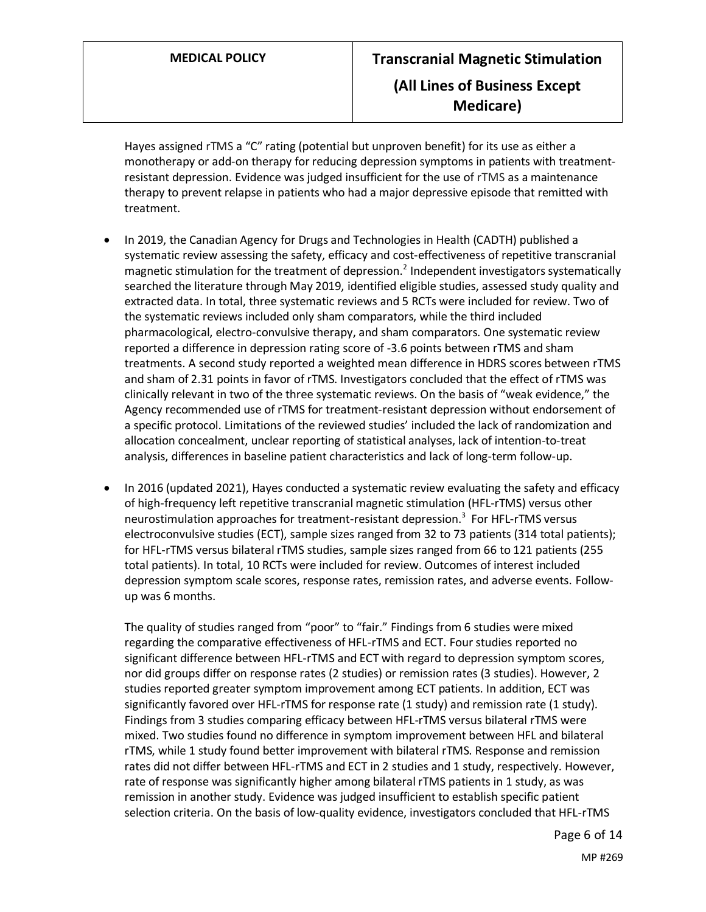Hayes assigned rTMS a "C" rating (potential but unproven benefit) for its use as either a monotherapy or add-on therapy for reducing depression symptoms in patients with treatmentresistant depression. Evidence was judged insufficient for the use of rTMS as a maintenance therapy to prevent relapse in patients who had a major depressive episode that remitted with treatment.

- In 2019, the Canadian Agency for Drugs and Technologies in Health (CADTH) published a systematic review assessing the safety, efficacy and cost-effectiveness of repetitive transcranial magnetic stimulation for the treatment of depression.<sup>2</sup> Independent investigators systematically searched the literature through May 2019, identified eligible studies, assessed study quality and extracted data. In total, three systematic reviews and 5 RCTs were included for review. Two of the systematic reviews included only sham comparators, while the third included pharmacological, electro-convulsive therapy, and sham comparators. One systematic review reported a difference in depression rating score of -3.6 points between rTMS and sham treatments. A second study reported a weighted mean difference in HDRS scores between rTMS and sham of 2.31 points in favor of rTMS. Investigators concluded that the effect of rTMS was clinically relevant in two of the three systematic reviews. On the basis of "weak evidence," the Agency recommended use of rTMS for treatment-resistant depression without endorsement of a specific protocol. Limitations of the reviewed studies' included the lack of randomization and allocation concealment, unclear reporting of statistical analyses, lack of intention-to-treat analysis, differences in baseline patient characteristics and lack of long-term follow-up.
- In 2016 (updated 2021), Hayes conducted a systematic review evaluating the safety and efficacy of high-frequency left repetitive transcranial magnetic stimulation (HFL-rTMS) versus other neurostimulation approaches for treatment-resistant depression.<sup>3</sup> For HFL-rTMS versus electroconvulsive studies (ECT), sample sizes ranged from 32 to 73 patients (314 total patients); for HFL-rTMS versus bilateral rTMS studies, sample sizes ranged from 66 to 121 patients (255 total patients). In total, 10 RCTs were included for review. Outcomes of interest included depression symptom scale scores, response rates, remission rates, and adverse events. Followup was 6 months.

The quality of studies ranged from "poor" to "fair." Findings from 6 studies were mixed regarding the comparative effectiveness of HFL-rTMS and ECT. Four studies reported no significant difference between HFL-rTMS and ECT with regard to depression symptom scores, nor did groups differ on response rates (2 studies) or remission rates (3 studies). However, 2 studies reported greater symptom improvement among ECT patients. In addition, ECT was significantly favored over HFL-rTMS for response rate (1 study) and remission rate (1 study). Findings from 3 studies comparing efficacy between HFL-rTMS versus bilateral rTMS were mixed. Two studies found no difference in symptom improvement between HFL and bilateral rTMS, while 1 study found better improvement with bilateral rTMS. Response and remission rates did not differ between HFL-rTMS and ECT in 2 studies and 1 study, respectively. However, rate of response was significantly higher among bilateral rTMS patients in 1 study, as was remission in another study. Evidence was judged insufficient to establish specific patient selection criteria. On the basis of low-quality evidence, investigators concluded that HFL-rTMS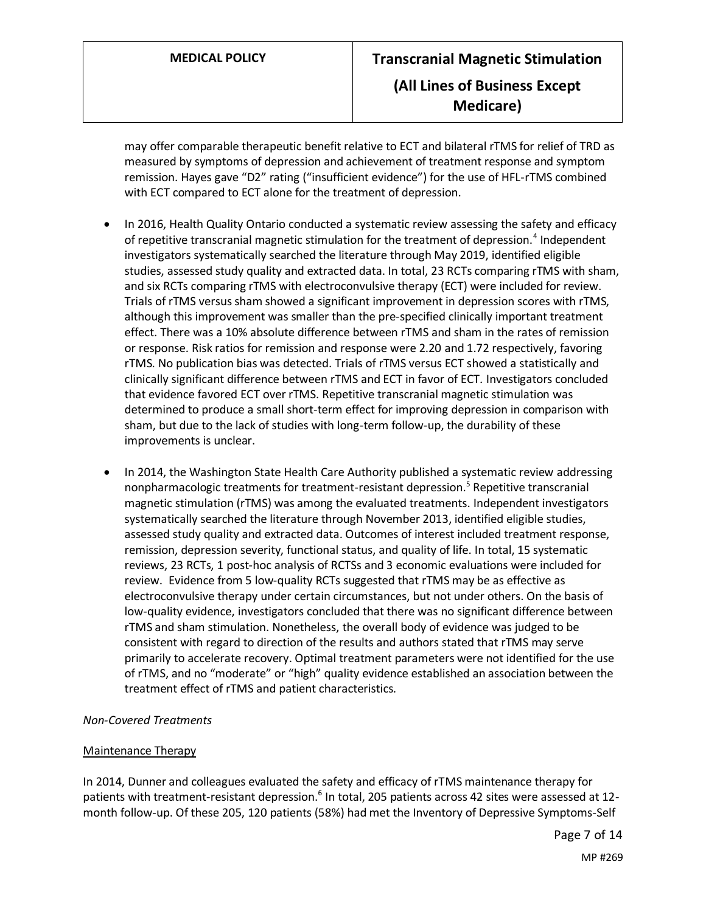may offer comparable therapeutic benefit relative to ECT and bilateral rTMS for relief of TRD as measured by symptoms of depression and achievement of treatment response and symptom remission. Hayes gave "D2" rating ("insufficient evidence") for the use of HFL-rTMS combined with ECT compared to ECT alone for the treatment of depression.

- In 2016, Health Quality Ontario conducted a systematic review assessing the safety and efficacy of repetitive transcranial magnetic stimulation for the treatment of depression.<sup>4</sup> Independent investigators systematically searched the literature through May 2019, identified eligible studies, assessed study quality and extracted data. In total, 23 RCTs comparing rTMS with sham, and six RCTs comparing rTMS with electroconvulsive therapy (ECT) were included for review. Trials of rTMS versus sham showed a significant improvement in depression scores with rTMS, although this improvement was smaller than the pre-specified clinically important treatment effect. There was a 10% absolute difference between rTMS and sham in the rates of remission or response. Risk ratios for remission and response were 2.20 and 1.72 respectively, favoring rTMS. No publication bias was detected. Trials of rTMS versus ECT showed a statistically and clinically significant difference between rTMS and ECT in favor of ECT. Investigators concluded that evidence favored ECT over rTMS. Repetitive transcranial magnetic stimulation was determined to produce a small short-term effect for improving depression in comparison with sham, but due to the lack of studies with long-term follow-up, the durability of these improvements is unclear.
- In 2014, the Washington State Health Care Authority published a systematic review addressing nonpharmacologic treatments for treatment-resistant depression.<sup>5</sup> Repetitive transcranial magnetic stimulation (rTMS) was among the evaluated treatments. Independent investigators systematically searched the literature through November 2013, identified eligible studies, assessed study quality and extracted data. Outcomes of interest included treatment response, remission, depression severity, functional status, and quality of life. In total, 15 systematic reviews, 23 RCTs, 1 post-hoc analysis of RCTSs and 3 economic evaluations were included for review. Evidence from 5 low-quality RCTs suggested that rTMS may be as effective as electroconvulsive therapy under certain circumstances, but not under others. On the basis of low-quality evidence, investigators concluded that there was no significant difference between rTMS and sham stimulation. Nonetheless, the overall body of evidence was judged to be consistent with regard to direction of the results and authors stated that rTMS may serve primarily to accelerate recovery. Optimal treatment parameters were not identified for the use of rTMS, and no "moderate" or "high" quality evidence established an association between the treatment effect of rTMS and patient characteristics.

### *Non-Covered Treatments*

### Maintenance Therapy

In 2014, Dunner and colleagues evaluated the safety and efficacy of rTMS maintenance therapy for patients with treatment-resistant depression.<sup>6</sup> In total, 205 patients across 42 sites were assessed at 12month follow-up. Of these 205, 120 patients (58%) had met the Inventory of Depressive Symptoms-Self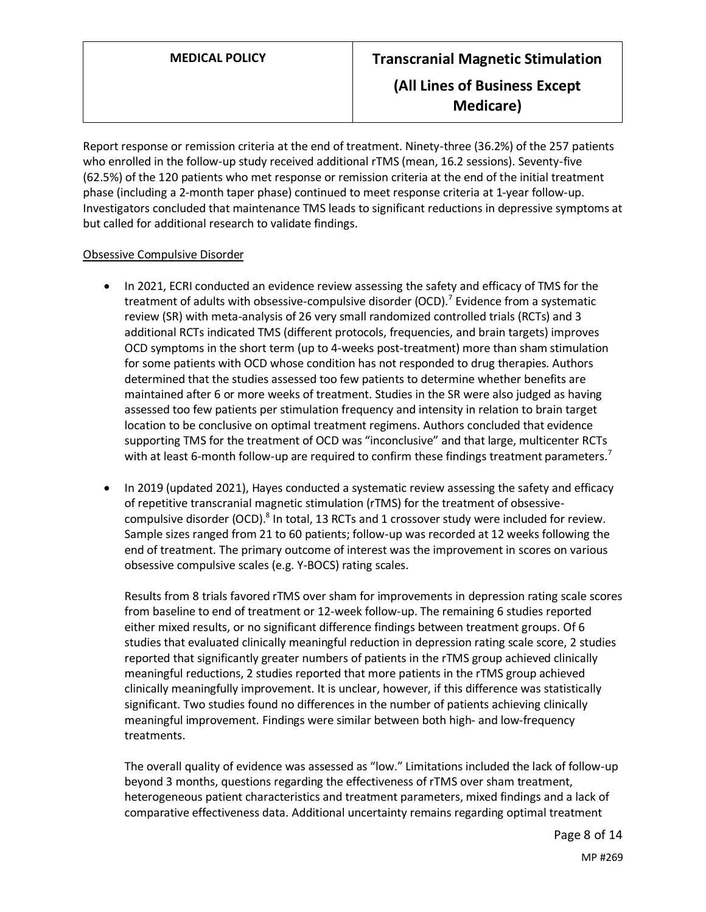Report response or remission criteria at the end of treatment. Ninety-three (36.2%) of the 257 patients who enrolled in the follow-up study received additional rTMS (mean, 16.2 sessions). Seventy-five (62.5%) of the 120 patients who met response or remission criteria at the end of the initial treatment phase (including a 2-month taper phase) continued to meet response criteria at 1-year follow-up. Investigators concluded that maintenance TMS leads to significant reductions in depressive symptoms at but called for additional research to validate findings.

## Obsessive Compulsive Disorder

- In 2021, ECRI conducted an evidence review assessing the safety and efficacy of TMS for the treatment of adults with obsessive-compulsive disorder (OCD).<sup>7</sup> Evidence from a systematic review (SR) with meta-analysis of 26 very small randomized controlled trials (RCTs) and 3 additional RCTs indicated TMS (different protocols, frequencies, and brain targets) improves OCD symptoms in the short term (up to 4-weeks post-treatment) more than sham stimulation for some patients with OCD whose condition has not responded to drug therapies. Authors determined that the studies assessed too few patients to determine whether benefits are maintained after 6 or more weeks of treatment. Studies in the SR were also judged as having assessed too few patients per stimulation frequency and intensity in relation to brain target location to be conclusive on optimal treatment regimens. Authors concluded that evidence supporting TMS for the treatment of OCD was "inconclusive" and that large, multicenter RCTs with at least 6-month follow-up are required to confirm these findings treatment parameters.<sup>7</sup>
- In 2019 (updated 2021), Hayes conducted a systematic review assessing the safety and efficacy of repetitive transcranial magnetic stimulation (rTMS) for the treatment of obsessivecompulsive disorder (OCD). $^8$  In total, 13 RCTs and 1 crossover study were included for review. Sample sizes ranged from 21 to 60 patients; follow-up was recorded at 12 weeks following the end of treatment. The primary outcome of interest was the improvement in scores on various obsessive compulsive scales (e.g. Y-BOCS) rating scales.

Results from 8 trials favored rTMS over sham for improvements in depression rating scale scores from baseline to end of treatment or 12-week follow-up. The remaining 6 studies reported either mixed results, or no significant difference findings between treatment groups. Of 6 studies that evaluated clinically meaningful reduction in depression rating scale score, 2 studies reported that significantly greater numbers of patients in the rTMS group achieved clinically meaningful reductions, 2 studies reported that more patients in the rTMS group achieved clinically meaningfully improvement. It is unclear, however, if this difference was statistically significant. Two studies found no differences in the number of patients achieving clinically meaningful improvement. Findings were similar between both high- and low-frequency treatments.

The overall quality of evidence was assessed as "low." Limitations included the lack of follow-up beyond 3 months, questions regarding the effectiveness of rTMS over sham treatment, heterogeneous patient characteristics and treatment parameters, mixed findings and a lack of comparative effectiveness data. Additional uncertainty remains regarding optimal treatment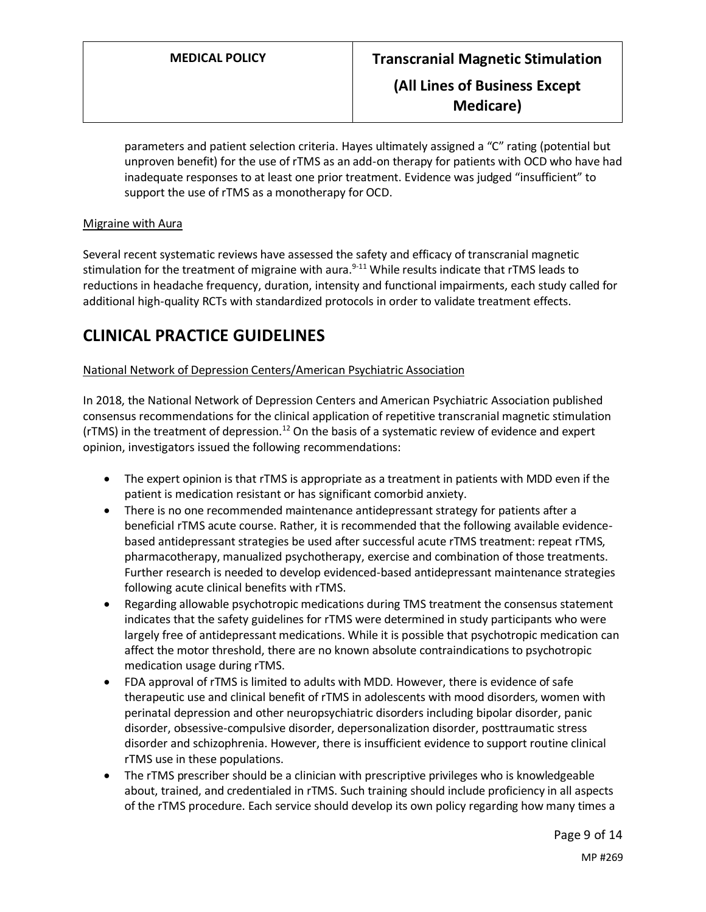**Medicare)**

parameters and patient selection criteria. Hayes ultimately assigned a "C" rating (potential but unproven benefit) for the use of rTMS as an add-on therapy for patients with OCD who have had inadequate responses to at least one prior treatment. Evidence was judged "insufficient" to support the use of rTMS as a monotherapy for OCD.

### Migraine with Aura

Several recent systematic reviews have assessed the safety and efficacy of transcranial magnetic stimulation for the treatment of migraine with aura.<sup>9-11</sup> While results indicate that rTMS leads to reductions in headache frequency, duration, intensity and functional impairments, each study called for additional high-quality RCTs with standardized protocols in order to validate treatment effects.

## **CLINICAL PRACTICE GUIDELINES**

## National Network of Depression Centers/American Psychiatric Association

In 2018, the National Network of Depression Centers and American Psychiatric Association published consensus recommendations for the clinical application of repetitive transcranial magnetic stimulation ( $rTMS$ ) in the treatment of depression.<sup>12</sup> On the basis of a systematic review of evidence and expert opinion, investigators issued the following recommendations:

- The expert opinion is that rTMS is appropriate as a treatment in patients with MDD even if the patient is medication resistant or has significant comorbid anxiety.
- There is no one recommended maintenance antidepressant strategy for patients after a beneficial rTMS acute course. Rather, it is recommended that the following available evidencebased antidepressant strategies be used after successful acute rTMS treatment: repeat rTMS, pharmacotherapy, manualized psychotherapy, exercise and combination of those treatments. Further research is needed to develop evidenced-based antidepressant maintenance strategies following acute clinical benefits with rTMS.
- Regarding allowable psychotropic medications during TMS treatment the consensus statement indicates that the safety guidelines for rTMS were determined in study participants who were largely free of antidepressant medications. While it is possible that psychotropic medication can affect the motor threshold, there are no known absolute contraindications to psychotropic medication usage during rTMS.
- FDA approval of rTMS is limited to adults with MDD. However, there is evidence of safe therapeutic use and clinical benefit of rTMS in adolescents with mood disorders, women with perinatal depression and other neuropsychiatric disorders including bipolar disorder, panic disorder, obsessive-compulsive disorder, depersonalization disorder, posttraumatic stress disorder and schizophrenia. However, there is insufficient evidence to support routine clinical rTMS use in these populations.
- The rTMS prescriber should be a clinician with prescriptive privileges who is knowledgeable about, trained, and credentialed in rTMS. Such training should include proficiency in all aspects of the rTMS procedure. Each service should develop its own policy regarding how many times a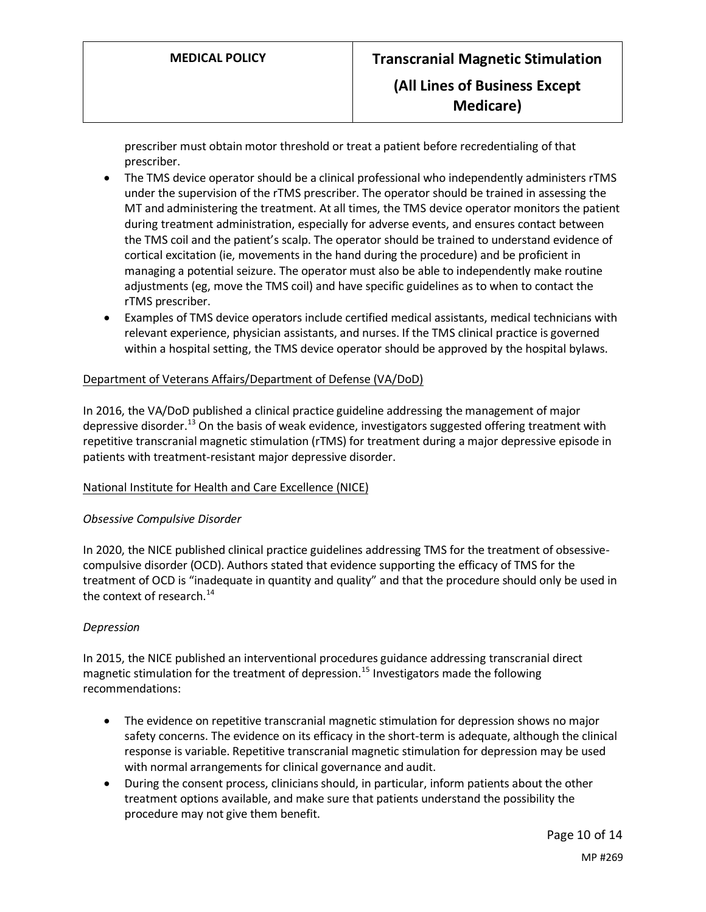prescriber must obtain motor threshold or treat a patient before recredentialing of that prescriber.

- The TMS device operator should be a clinical professional who independently administers rTMS under the supervision of the rTMS prescriber. The operator should be trained in assessing the MT and administering the treatment. At all times, the TMS device operator monitors the patient during treatment administration, especially for adverse events, and ensures contact between the TMS coil and the patient's scalp. The operator should be trained to understand evidence of cortical excitation (ie, movements in the hand during the procedure) and be proficient in managing a potential seizure. The operator must also be able to independently make routine adjustments (eg, move the TMS coil) and have specific guidelines as to when to contact the rTMS prescriber.
- Examples of TMS device operators include certified medical assistants, medical technicians with relevant experience, physician assistants, and nurses. If the TMS clinical practice is governed within a hospital setting, the TMS device operator should be approved by the hospital bylaws.

## Department of Veterans Affairs/Department of Defense (VA/DoD)

In 2016, the VA/DoD published a clinical practice guideline addressing the management of major depressive disorder.<sup>13</sup> On the basis of weak evidence, investigators suggested offering treatment with repetitive transcranial magnetic stimulation (rTMS) for treatment during a major depressive episode in patients with treatment-resistant major depressive disorder.

### National Institute for Health and Care Excellence (NICE)

### *Obsessive Compulsive Disorder*

In 2020, the NICE published clinical practice guidelines addressing TMS for the treatment of obsessivecompulsive disorder (OCD). Authors stated that evidence supporting the efficacy of TMS for the treatment of OCD is "inadequate in quantity and quality" and that the procedure should only be used in the context of research. $^{14}$ 

### *Depression*

In 2015, the NICE published an interventional procedures guidance addressing transcranial direct magnetic stimulation for the treatment of depression.<sup>15</sup> Investigators made the following recommendations:

- The evidence on repetitive transcranial magnetic stimulation for depression shows no major safety concerns. The evidence on its efficacy in the short-term is adequate, although the clinical response is variable. Repetitive transcranial magnetic stimulation for depression may be used with normal arrangements for clinical governance and audit.
- During the consent process, clinicians should, in particular, inform patients about the other treatment options available, and make sure that patients understand the possibility the procedure may not give them benefit.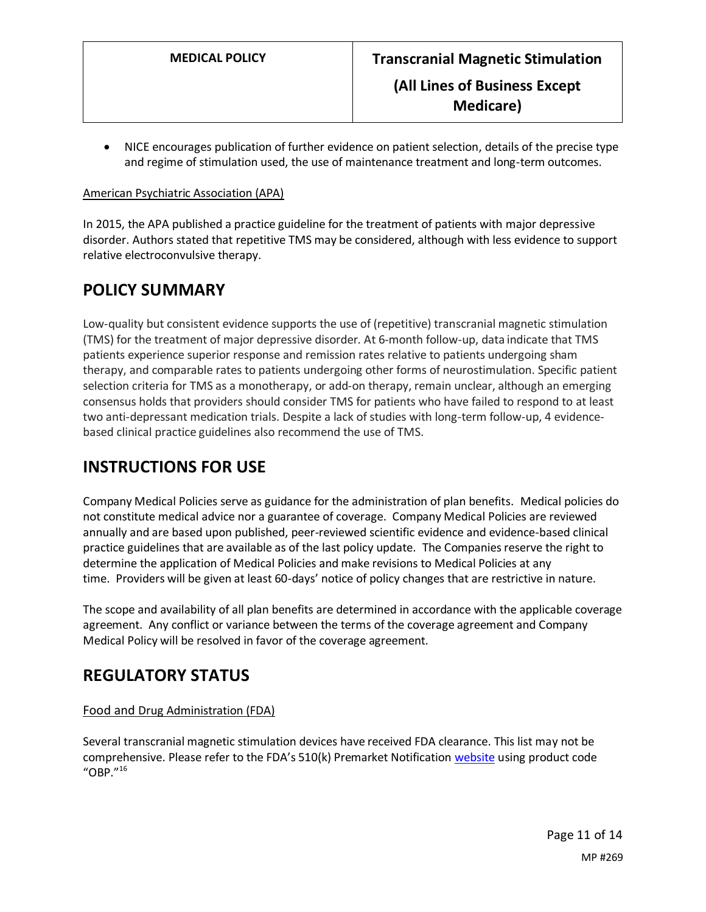• NICE encourages publication of further evidence on patient selection, details of the precise type and regime of stimulation used, the use of maintenance treatment and long-term outcomes.

### American Psychiatric Association (APA)

In 2015, the APA published a practice guideline for the treatment of patients with major depressive disorder. Authors stated that repetitive TMS may be considered, although with less evidence to support relative electroconvulsive therapy.

## <span id="page-10-0"></span>**POLICY SUMMARY**

Low-quality but consistent evidence supports the use of (repetitive) transcranial magnetic stimulation (TMS) for the treatment of major depressive disorder. At 6-month follow-up, data indicate that TMS patients experience superior response and remission rates relative to patients undergoing sham therapy, and comparable rates to patients undergoing other forms of neurostimulation. Specific patient selection criteria for TMS as a monotherapy, or add-on therapy, remain unclear, although an emerging consensus holds that providers should consider TMS for patients who have failed to respond to at least two anti-depressant medication trials. Despite a lack of studies with long-term follow-up, 4 evidencebased clinical practice guidelines also recommend the use of TMS.

# **INSTRUCTIONS FOR USE**

Company Medical Policies serve as guidance for the administration of plan benefits. Medical policies do not constitute medical advice nor a guarantee of coverage. Company Medical Policies are reviewed annually and are based upon published, peer-reviewed scientific evidence and evidence-based clinical practice guidelines that are available as of the last policy update. The Companies reserve the right to determine the application of Medical Policies and make revisions to Medical Policies at any time. Providers will be given at least 60-days' notice of policy changes that are restrictive in nature.

The scope and availability of all plan benefits are determined in accordance with the applicable coverage agreement. Any conflict or variance between the terms of the coverage agreement and Company Medical Policy will be resolved in favor of the coverage agreement.

## **REGULATORY STATUS**

## Food and Drug Administration (FDA)

Several transcranial magnetic stimulation devices have received FDA clearance. This list may not be comprehensive. Please refer to the FDA's 510(k) Premarket Notification [website](https://www.accessdata.fda.gov/scripts/cdrh/cfdocs/cfPMN/pmn.cfm) using product code "OBP." $16$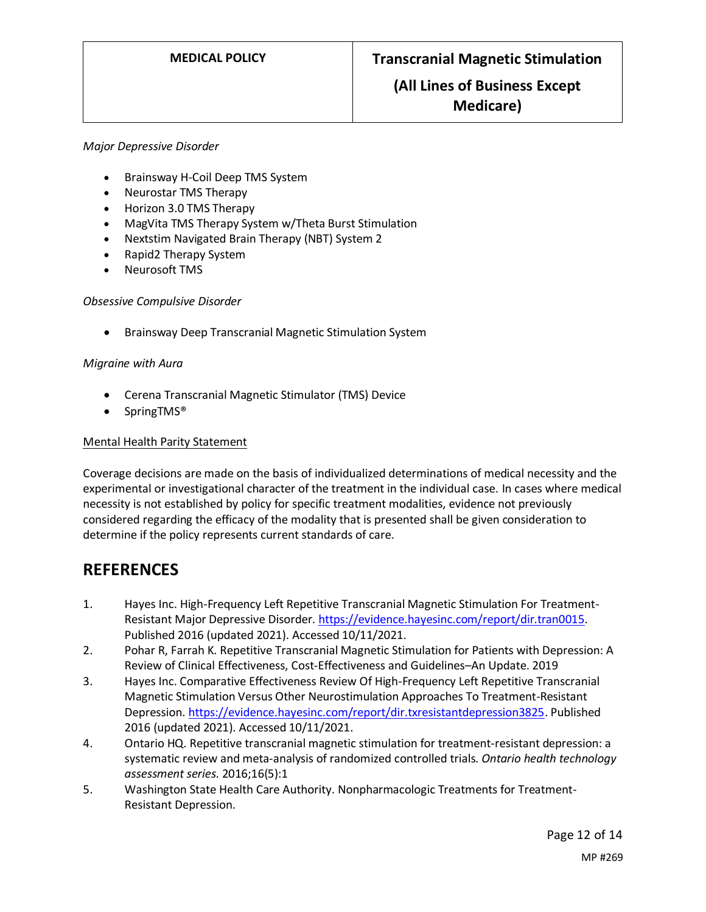## **(All Lines of Business Except Medicare)**

#### *Major Depressive Disorder*

- Brainsway H-Coil Deep TMS System
- Neurostar TMS Therapy
- Horizon 3.0 TMS Therapy
- MagVita TMS Therapy System w/Theta Burst Stimulation
- Nextstim Navigated Brain Therapy (NBT) System 2
- Rapid2 Therapy System
- Neurosoft TMS

#### *Obsessive Compulsive Disorder*

• Brainsway Deep Transcranial Magnetic Stimulation System

#### *Migraine with Aura*

- Cerena Transcranial Magnetic Stimulator (TMS) Device
- SpringTMS®

### Mental Health Parity Statement

Coverage decisions are made on the basis of individualized determinations of medical necessity and the experimental or investigational character of the treatment in the individual case. In cases where medical necessity is not established by policy for specific treatment modalities, evidence not previously considered regarding the efficacy of the modality that is presented shall be given consideration to determine if the policy represents current standards of care.

## **REFERENCES**

- 1. Hayes Inc. High-Frequency Left Repetitive Transcranial Magnetic Stimulation For Treatment-Resistant Major Depressive Disorder. [https://evidence.hayesinc.com/report/dir.tran0015.](https://evidence.hayesinc.com/report/dir.tran0015) Published 2016 (updated 2021). Accessed 10/11/2021.
- 2. Pohar R, Farrah K. Repetitive Transcranial Magnetic Stimulation for Patients with Depression: A Review of Clinical Effectiveness, Cost-Effectiveness and Guidelines–An Update. 2019
- 3. Hayes Inc. Comparative Effectiveness Review Of High-Frequency Left Repetitive Transcranial Magnetic Stimulation Versus Other Neurostimulation Approaches To Treatment-Resistant Depression. [https://evidence.hayesinc.com/report/dir.txresistantdepression3825.](https://evidence.hayesinc.com/report/dir.txresistantdepression3825) Published 2016 (updated 2021). Accessed 10/11/2021.
- 4. Ontario HQ. Repetitive transcranial magnetic stimulation for treatment-resistant depression: a systematic review and meta-analysis of randomized controlled trials. *Ontario health technology assessment series.* 2016;16(5):1
- 5. Washington State Health Care Authority. Nonpharmacologic Treatments for Treatment-Resistant Depression.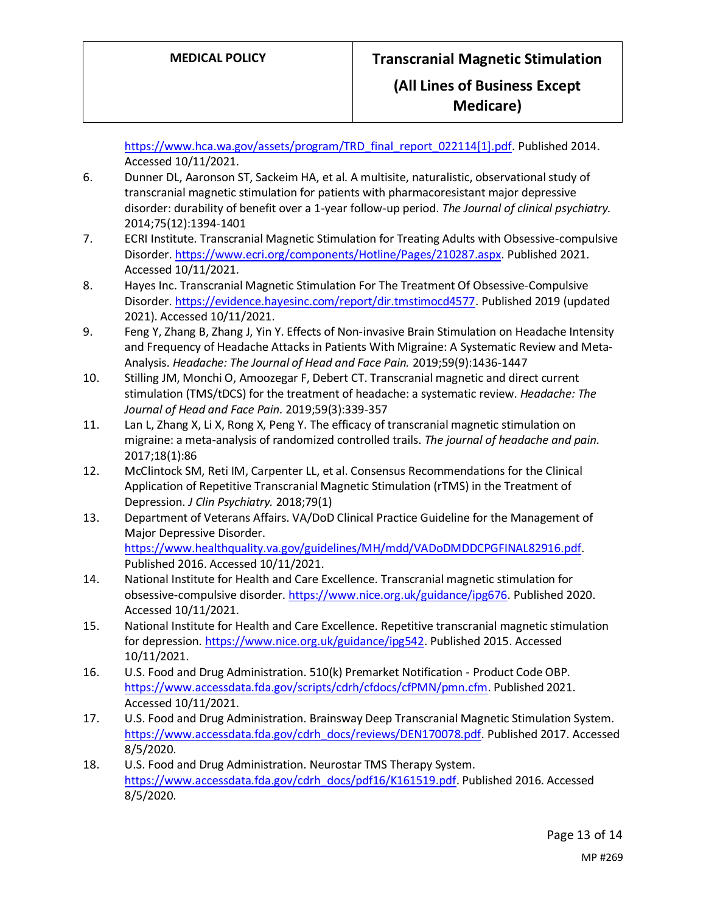[https://www.hca.wa.gov/assets/program/TRD\\_final\\_report\\_022114\[1\].pdf.](https://www.hca.wa.gov/assets/program/TRD_final_report_022114%5b1%5d.pdf) Published 2014. Accessed 10/11/2021.

- 6. Dunner DL, Aaronson ST, Sackeim HA, et al. A multisite, naturalistic, observational study of transcranial magnetic stimulation for patients with pharmacoresistant major depressive disorder: durability of benefit over a 1-year follow-up period. *The Journal of clinical psychiatry.*  2014;75(12):1394-1401
- 7. ECRI Institute. Transcranial Magnetic Stimulation for Treating Adults with Obsessive-compulsive Disorder[. https://www.ecri.org/components/Hotline/Pages/210287.aspx.](https://www.ecri.org/components/Hotline/Pages/210287.aspx) Published 2021. Accessed 10/11/2021.
- 8. Hayes Inc. Transcranial Magnetic Stimulation For The Treatment Of Obsessive-Compulsive Disorder[. https://evidence.hayesinc.com/report/dir.tmstimocd4577.](https://evidence.hayesinc.com/report/dir.tmstimocd4577) Published 2019 (updated 2021). Accessed 10/11/2021.
- 9. Feng Y, Zhang B, Zhang J, Yin Y. Effects of Non‐invasive Brain Stimulation on Headache Intensity and Frequency of Headache Attacks in Patients With Migraine: A Systematic Review and Meta‐ Analysis. *Headache: The Journal of Head and Face Pain.* 2019;59(9):1436-1447
- 10. Stilling JM, Monchi O, Amoozegar F, Debert CT. Transcranial magnetic and direct current stimulation (TMS/tDCS) for the treatment of headache: a systematic review. *Headache: The Journal of Head and Face Pain.* 2019;59(3):339-357
- 11. Lan L, Zhang X, Li X, Rong X, Peng Y. The efficacy of transcranial magnetic stimulation on migraine: a meta-analysis of randomized controlled trails. *The journal of headache and pain.*  2017;18(1):86
- 12. McClintock SM, Reti IM, Carpenter LL, et al. Consensus Recommendations for the Clinical Application of Repetitive Transcranial Magnetic Stimulation (rTMS) in the Treatment of Depression. *J Clin Psychiatry.* 2018;79(1)
- 13. Department of Veterans Affairs. VA/DoD Clinical Practice Guideline for the Management of Major Depressive Disorder. [https://www.healthquality.va.gov/guidelines/MH/mdd/VADoDMDDCPGFINAL82916.pdf.](https://www.healthquality.va.gov/guidelines/MH/mdd/VADoDMDDCPGFINAL82916.pdf) Published 2016. Accessed 10/11/2021.
- 14. National Institute for Health and Care Excellence. Transcranial magnetic stimulation for obsessive-compulsive disorder. [https://www.nice.org.uk/guidance/ipg676.](https://www.nice.org.uk/guidance/ipg676) Published 2020. Accessed 10/11/2021.
- 15. National Institute for Health and Care Excellence. Repetitive transcranial magnetic stimulation for depression. [https://www.nice.org.uk/guidance/ipg542.](https://www.nice.org.uk/guidance/ipg542) Published 2015. Accessed 10/11/2021.
- 16. U.S. Food and Drug Administration. 510(k) Premarket Notification Product Code OBP. [https://www.accessdata.fda.gov/scripts/cdrh/cfdocs/cfPMN/pmn.cfm.](https://www.accessdata.fda.gov/scripts/cdrh/cfdocs/cfPMN/pmn.cfm) Published 2021. Accessed 10/11/2021.
- 17. U.S. Food and Drug Administration. Brainsway Deep Transcranial Magnetic Stimulation System. [https://www.accessdata.fda.gov/cdrh\\_docs/reviews/DEN170078.pdf.](https://www.accessdata.fda.gov/cdrh_docs/reviews/DEN170078.pdf) Published 2017. Accessed 8/5/2020.
- 18. U.S. Food and Drug Administration. Neurostar TMS Therapy System. [https://www.accessdata.fda.gov/cdrh\\_docs/pdf16/K161519.pdf.](https://www.accessdata.fda.gov/cdrh_docs/pdf16/K161519.pdf) Published 2016. Accessed 8/5/2020.